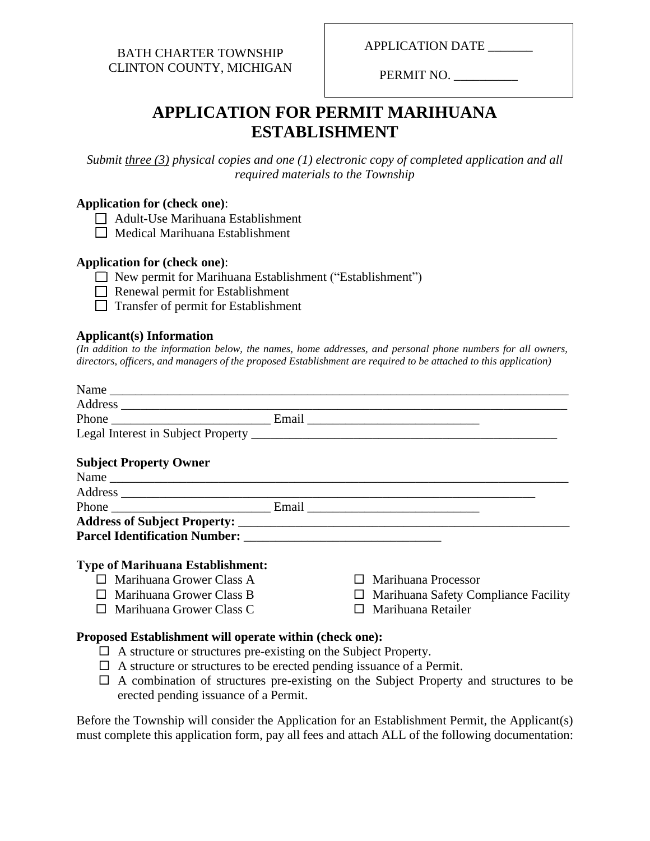BATH CHARTER TOWNSHIP CLINTON COUNTY, MICHIGAN APPLICATION DATE

PERMIT NO.

# **APPLICATION FOR PERMIT MARIHUANA ESTABLISHMENT**

*Submit three (3) physical copies and one (1) electronic copy of completed application and all required materials to the Township*

#### **Application for (check one)**:

- Adult-Use Marihuana Establishment
- $\Box$  Medical Marihuana Establishment

#### **Application for (check one)**:

New permit for Marihuana Establishment ("Establishment")

Renewal permit for Establishment

Transfer of permit for Establishment

#### **Applicant(s) Information**

*(In addition to the information below, the names, home addresses, and personal phone numbers for all owners, directors, officers, and managers of the proposed Establishment are required to be attached to this application)*

| <b>Subject Property Owner</b>           |                     |
|-----------------------------------------|---------------------|
|                                         |                     |
|                                         |                     |
|                                         |                     |
|                                         |                     |
|                                         |                     |
| <b>Type of Marihuana Establishment:</b> |                     |
| $\Box$ Marihuana Grower Class A         | Marihuana Processor |

- $\Box$  Marihuana Grower Class B
- $\Box$  Marihuana Grower Class C
- Marihuana Processor
- $\Box$  Marihuana Safety Compliance Facility
- □ Marihuana Retailer

#### **Proposed Establishment will operate within (check one):**

- $\Box$  A structure or structures pre-existing on the Subject Property.
- $\Box$  A structure or structures to be erected pending issuance of a Permit.
- $\Box$  A combination of structures pre-existing on the Subject Property and structures to be erected pending issuance of a Permit.

Before the Township will consider the Application for an Establishment Permit, the Applicant(s) must complete this application form, pay all fees and attach ALL of the following documentation: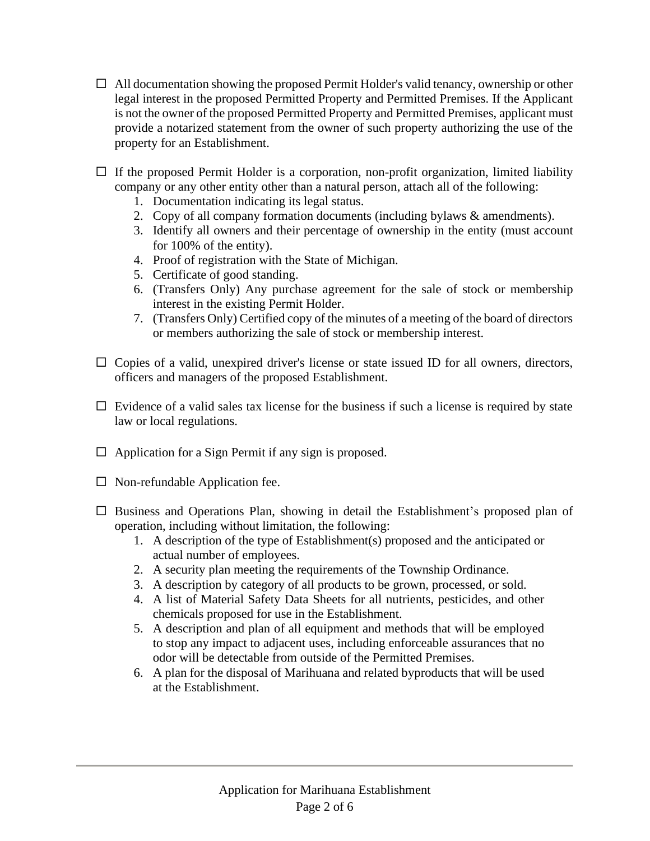- $\Box$  All documentation showing the proposed Permit Holder's valid tenancy, ownership or other legal interest in the proposed Permitted Property and Permitted Premises. If the Applicant is not the owner of the proposed Permitted Property and Permitted Premises, applicant must provide a notarized statement from the owner of such property authorizing the use of the property for an Establishment.
- $\Box$  If the proposed Permit Holder is a corporation, non-profit organization, limited liability company or any other entity other than a natural person, attach all of the following:
	- 1. Documentation indicating its legal status.
	- 2. Copy of all company formation documents (including bylaws & amendments).
	- 3. Identify all owners and their percentage of ownership in the entity (must account for 100% of the entity).
	- 4. Proof of registration with the State of Michigan.
	- 5. Certificate of good standing.
	- 6. (Transfers Only) Any purchase agreement for the sale of stock or membership interest in the existing Permit Holder.
	- 7. (Transfers Only) Certified copy of the minutes of a meeting of the board of directors or members authorizing the sale of stock or membership interest.
- $\Box$  Copies of a valid, unexpired driver's license or state issued ID for all owners, directors, officers and managers of the proposed Establishment.
- $\Box$  Evidence of a valid sales tax license for the business if such a license is required by state law or local regulations.
- $\Box$  Application for a Sign Permit if any sign is proposed.
- $\Box$  Non-refundable Application fee.
- $\square$  Business and Operations Plan, showing in detail the Establishment's proposed plan of operation, including without limitation, the following:
	- 1. A description of the type of Establishment(s) proposed and the anticipated or actual number of employees.
	- 2. A security plan meeting the requirements of the Township Ordinance.
	- 3. A description by category of all products to be grown, processed, or sold.
	- 4. A list of Material Safety Data Sheets for all nutrients, pesticides, and other chemicals proposed for use in the Establishment.
	- 5. A description and plan of all equipment and methods that will be employed to stop any impact to adjacent uses, including enforceable assurances that no odor will be detectable from outside of the Permitted Premises.
	- 6. A plan for the disposal of Marihuana and related byproducts that will be used at the Establishment.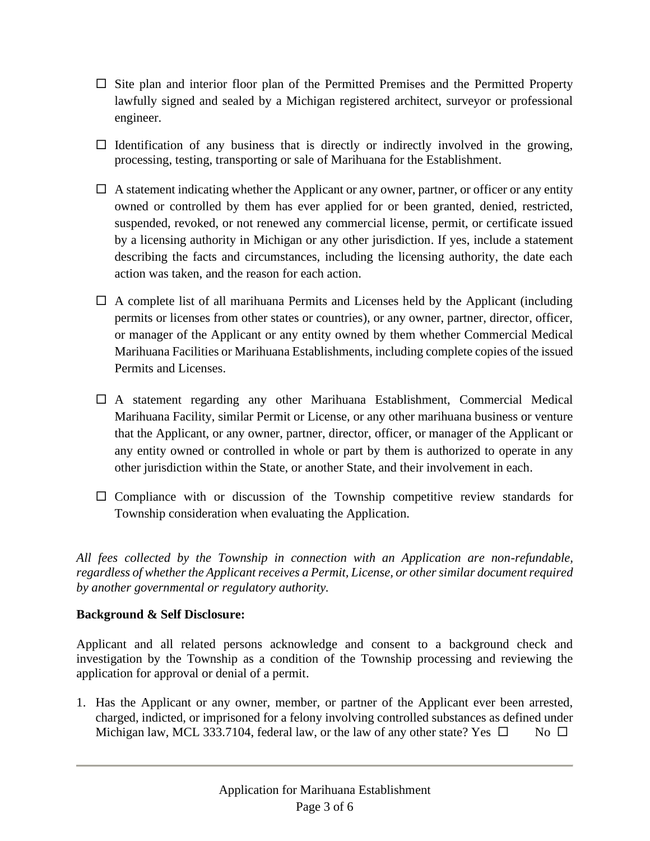- $\Box$  Site plan and interior floor plan of the Permitted Premises and the Permitted Property lawfully signed and sealed by a Michigan registered architect, surveyor or professional engineer.
- $\Box$  Identification of any business that is directly or indirectly involved in the growing, processing, testing, transporting or sale of Marihuana for the Establishment.
- $\Box$  A statement indicating whether the Applicant or any owner, partner, or officer or any entity owned or controlled by them has ever applied for or been granted, denied, restricted, suspended, revoked, or not renewed any commercial license, permit, or certificate issued by a licensing authority in Michigan or any other jurisdiction. If yes, include a statement describing the facts and circumstances, including the licensing authority, the date each action was taken, and the reason for each action.
- $\Box$  A complete list of all marihuana Permits and Licenses held by the Applicant (including permits or licenses from other states or countries), or any owner, partner, director, officer, or manager of the Applicant or any entity owned by them whether Commercial Medical Marihuana Facilities or Marihuana Establishments, including complete copies of the issued Permits and Licenses.
- A statement regarding any other Marihuana Establishment, Commercial Medical Marihuana Facility, similar Permit or License, or any other marihuana business or venture that the Applicant, or any owner, partner, director, officer, or manager of the Applicant or any entity owned or controlled in whole or part by them is authorized to operate in any other jurisdiction within the State, or another State, and their involvement in each.
- $\square$  Compliance with or discussion of the Township competitive review standards for Township consideration when evaluating the Application.

*All fees collected by the Township in connection with an Application are non-refundable, regardless of whether the Applicant receives a Permit, License, or other similar document required by another governmental or regulatory authority.*

## **Background & Self Disclosure:**

Applicant and all related persons acknowledge and consent to a background check and investigation by the Township as a condition of the Township processing and reviewing the application for approval or denial of a permit.

1. Has the Applicant or any owner, member, or partner of the Applicant ever been arrested, charged, indicted, or imprisoned for a felony involving controlled substances as defined under Michigan law, MCL 333.7104, federal law, or the law of any other state? Yes  $\square$  No  $\square$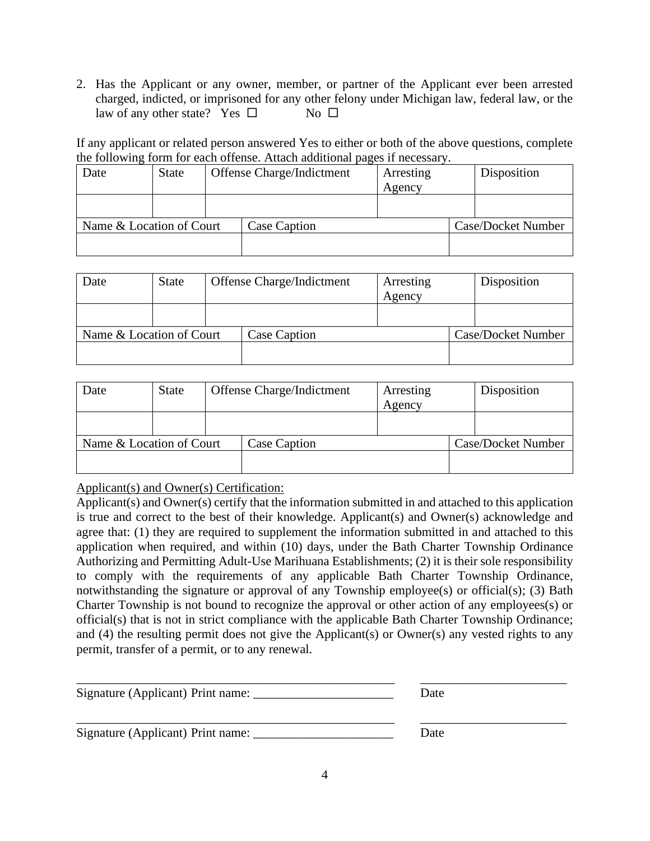2. Has the Applicant or any owner, member, or partner of the Applicant ever been arrested charged, indicted, or imprisoned for any other felony under Michigan law, federal law, or the law of any other state? Yes  $\square$  No  $\square$ 

If any applicant or related person answered Yes to either or both of the above questions, complete the following form for each offense. Attach additional pages if necessary.

| Date                     | <b>State</b> | Offense Charge/Indictment |              | Arresting | Disposition        |
|--------------------------|--------------|---------------------------|--------------|-----------|--------------------|
|                          |              |                           |              | Agency    |                    |
|                          |              |                           |              |           |                    |
|                          |              |                           |              |           |                    |
| Name & Location of Court |              |                           | Case Caption |           | Case/Docket Number |
|                          |              |                           |              |           |                    |
|                          |              |                           |              |           |                    |

| Date                     | State | Offense Charge/Indictment |  | Arresting<br>Agency | Disposition |
|--------------------------|-------|---------------------------|--|---------------------|-------------|
|                          |       |                           |  |                     |             |
| Name & Location of Court |       | Case Caption              |  | Case/Docket Number  |             |
|                          |       |                           |  |                     |             |

| State                    | Offense Charge/Indictment |              | Arresting |        | Disposition        |
|--------------------------|---------------------------|--------------|-----------|--------|--------------------|
|                          |                           |              |           |        |                    |
|                          |                           |              |           |        |                    |
| Name & Location of Court |                           | Case Caption |           |        | Case/Docket Number |
|                          |                           |              |           |        |                    |
|                          |                           |              |           | Agency |                    |

Applicant(s) and Owner(s) Certification:

Applicant(s) and Owner(s) certify that the information submitted in and attached to this application is true and correct to the best of their knowledge. Applicant(s) and Owner(s) acknowledge and agree that: (1) they are required to supplement the information submitted in and attached to this application when required, and within (10) days, under the Bath Charter Township Ordinance Authorizing and Permitting Adult-Use Marihuana Establishments; (2) it is their sole responsibility to comply with the requirements of any applicable Bath Charter Township Ordinance, notwithstanding the signature or approval of any Township employee(s) or official(s); (3) Bath Charter Township is not bound to recognize the approval or other action of any employees(s) or official(s) that is not in strict compliance with the applicable Bath Charter Township Ordinance; and (4) the resulting permit does not give the Applicant(s) or Owner(s) any vested rights to any permit, transfer of a permit, or to any renewal.

| Signature (Applicant) Print name: | Date |
|-----------------------------------|------|
| Signature (Applicant) Print name: | Date |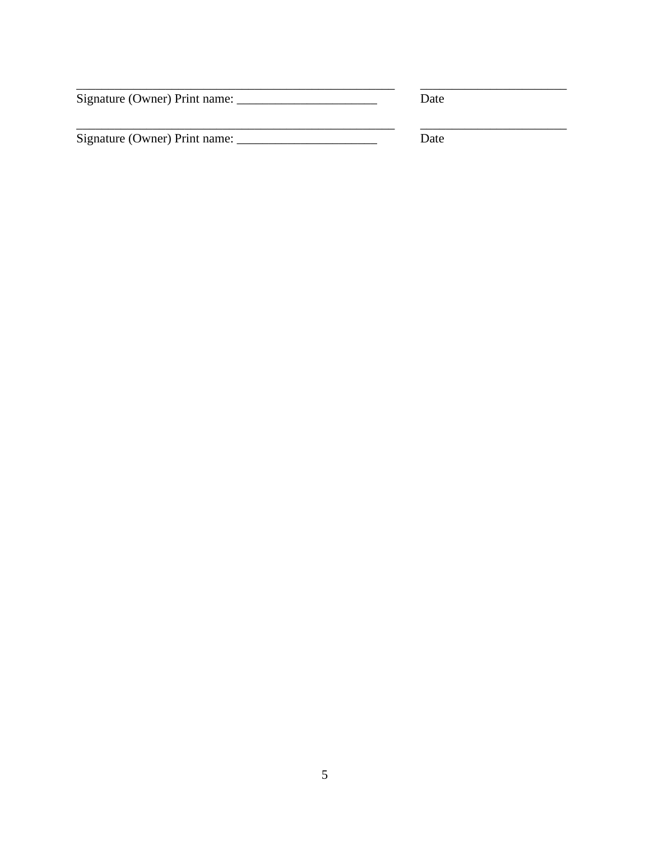| Signature (Owner) Print name: |  |
|-------------------------------|--|
|-------------------------------|--|

Date

Signature (Owner) Print name:

 $\overline{Date}$